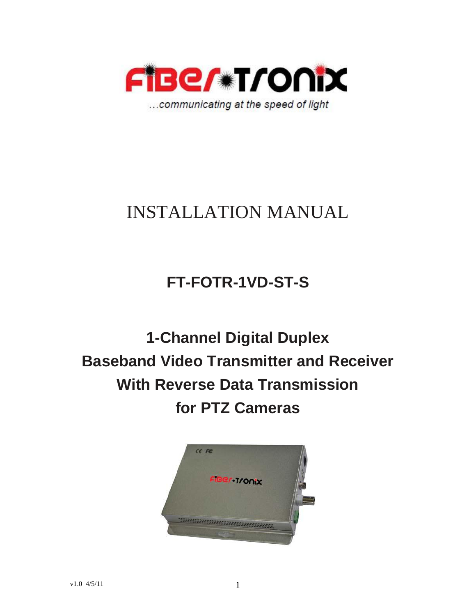

# INSTALLATION MANUAL

## **FT-FOTR-1VD-ST-S**

**1-Channel Digital Duplex Baseband Video Transmitter and Receiver With Reverse Data Transmission for PTZ Cameras**

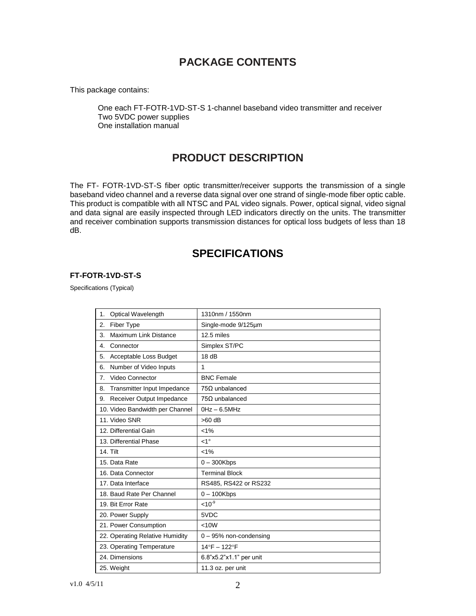## **PACKAGE CONTENTS**

This package contains:

One each FT-FOTR-1VD-ST-S 1-channel baseband video transmitter and receiver Two 5VDC power supplies One installation manual

## **PRODUCT DESCRIPTION**

The FT- FOTR-1VD-ST-S fiber optic transmitter/receiver supports the transmission of a single baseband video channel and a reverse data signal over one strand of single-mode fiber optic cable. This product is compatible with all NTSC and PAL video signals. Power, optical signal, video signal and data signal are easily inspected through LED indicators directly on the units. The transmitter and receiver combination supports transmission distances for optical loss budgets of less than 18 dB.

## **SPECIFICATIONS**

#### **FT-FOTR-1VD-ST-S**

Specifications (Typical)

| Optical Wavelength<br>1.           | 1310nm / 1550nm          |
|------------------------------------|--------------------------|
| Fiber Type<br>2.                   | Single-mode 9/125um      |
| <b>Maximum Link Distance</b><br>3. | 12.5 miles               |
| Connector<br>4.                    | Simplex ST/PC            |
| Acceptable Loss Budget<br>5.       | 18dB                     |
| Number of Video Inputs<br>6.       | 1                        |
| Video Connector<br>7.              | <b>BNC Female</b>        |
| Transmitter Input Impedance<br>8.  | $75\Omega$ unbalanced    |
| Receiver Output Impedance<br>9.    | $75\Omega$ unbalanced    |
| 10. Video Bandwidth per Channel    | $0Hz - 6.5MHz$           |
| 11. Video SNR                      | $>60$ dB                 |
| 12. Differential Gain              | $< 1\%$                  |
| 13. Differential Phase             | $<1^{\circ}$             |
| 14. Tilt                           | $< 1\%$                  |
| 15. Data Rate                      | $0 - 300$ Kbps           |
| 16. Data Connector                 | <b>Terminal Block</b>    |
| 17. Data Interface                 | RS485, RS422 or RS232    |
| 18. Baud Rate Per Channel          | $0 - 100$ Kbps           |
| 19. Bit Error Rate                 | $10^{-9}$                |
| 20. Power Supply                   | 5VDC                     |
| 21. Power Consumption              | < 10W                    |
| 22. Operating Relative Humidity    | $0 - 95%$ non-condensing |
| 23. Operating Temperature          | 14°F - 122°F             |
| 24. Dimensions                     | 6.8"x5.2"x1.1" per unit  |
| 25. Weight                         | 11.3 oz. per unit        |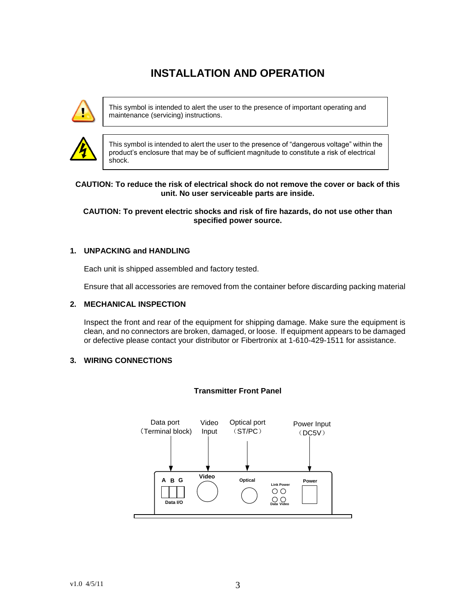## **INSTALLATION AND OPERATION**



This symbol is intended to alert the user to the presence of important operating and maintenance (servicing) instructions.



This symbol is intended to alert the user to the presence of "dangerous voltage" within the product's enclosure that may be of sufficient magnitude to constitute a risk of electrical shock.

#### **CAUTION: To reduce the risk of electrical shock do not remove the cover or back of this unit. No user serviceable parts are inside.**

#### **CAUTION: To prevent electric shocks and risk of fire hazards, do not use other than specified power source.**

#### **1. UNPACKING and HANDLING**

Each unit is shipped assembled and factory tested.

Ensure that all accessories are removed from the container before discarding packing material

#### **2. MECHANICAL INSPECTION**

Inspect the front and rear of the equipment for shipping damage. Make sure the equipment is clean, and no connectors are broken, damaged, or loose. If equipment appears to be damaged or defective please contact your distributor or Fibertronix at 1-610-429-1511 for assistance.

#### **3. WIRING CONNECTIONS**



#### **Transmitter Front Panel**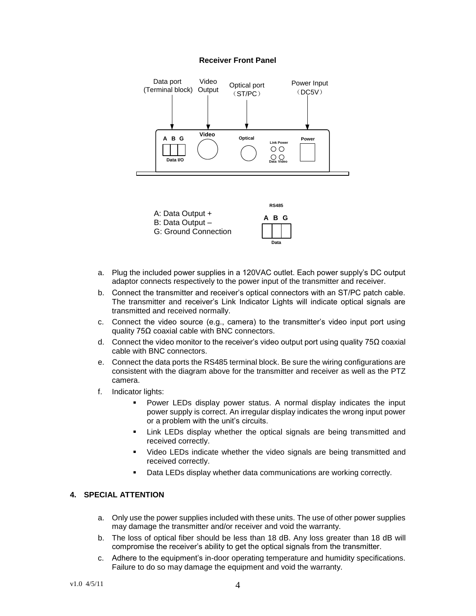#### **Receiver Front Panel**





- a. Plug the included power supplies in a 120VAC outlet. Each power supply's DC output adaptor connects respectively to the power input of the transmitter and receiver.
- b. Connect the transmitter and receiver's optical connectors with an ST/PC patch cable. The transmitter and receiver's Link Indicator Lights will indicate optical signals are transmitted and received normally.
- c. Connect the video source (e.g., camera) to the transmitter's video input port using quality 75Ω coaxial cable with BNC connectors.
- d. Connect the video monitor to the receiver's video output port using quality 75Ω coaxial cable with BNC connectors.
- e. Connect the data ports the RS485 terminal block. Be sure the wiring configurations are consistent with the diagram above for the transmitter and receiver as well as the PTZ camera.
- f. Indicator lights:
	- Power LEDs display power status. A normal display indicates the input power supply is correct. An irregular display indicates the wrong input power or a problem with the unit's circuits.
	- **EXTERG** Link LEDs display whether the optical signals are being transmitted and received correctly.
	- Video LEDs indicate whether the video signals are being transmitted and received correctly.
	- Data LEDs display whether data communications are working correctly.

#### **4. SPECIAL ATTENTION**

- a. Only use the power supplies included with these units. The use of other power supplies may damage the transmitter and/or receiver and void the warranty.
- b. The loss of optical fiber should be less than 18 dB. Any loss greater than 18 dB will compromise the receiver's ability to get the optical signals from the transmitter.
- c. Adhere to the equipment's in-door operating temperature and humidity specifications. Failure to do so may damage the equipment and void the warranty.